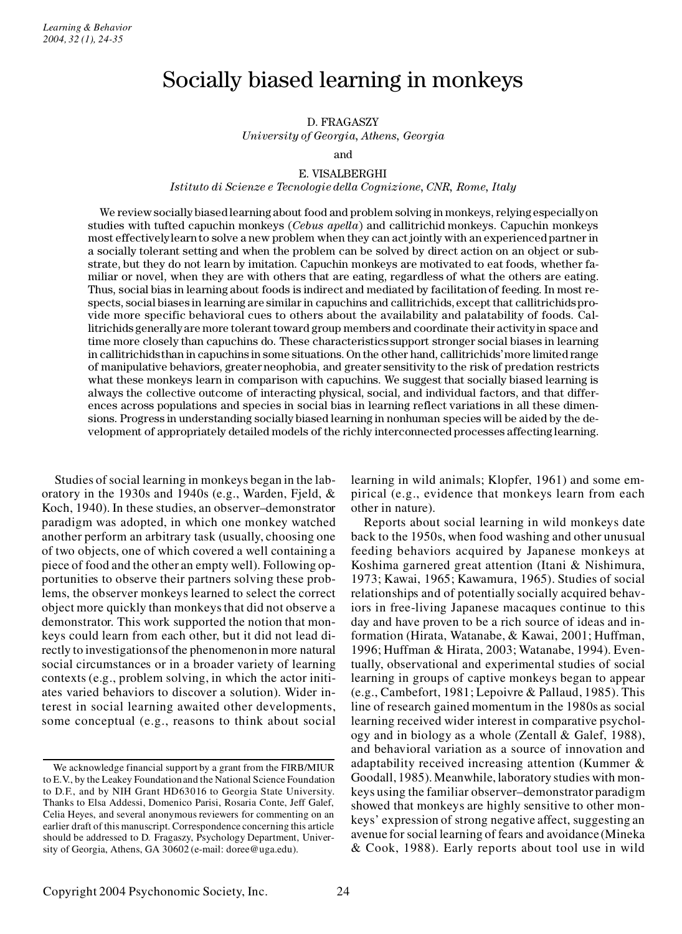# Socially biased learning in monkeys

D. FRAGASZY

*University of Georgia, Athens, Georgia*

and

E. VISALBERGHI *Istituto di Scienze e Tecnologie della Cognizione, CNR, Rome, Italy*

We review socially biased learning about food and problem solving in monkeys, relying especially on studies with tufted capuchin monkeys (*Cebus apella*) and callitrichid monkeys. Capuchin monkeys most effectively learn to solve a new problem when they can act jointly with an experienced partner in a socially tolerant setting and when the problem can be solved by direct action on an object or substrate, but they do not learn by imitation. Capuchin monkeys are motivated to eat foods, whether familiar or novel, when they are with others that are eating, regardless of what the others are eating. Thus, social bias in learning about foods is indirect and mediated by facilitation of feeding. In most re spects, social biases in learning are similar in capuchins and callitrichids, except that callitrichids provide more specific behavioral cues to others about the availability and palatability of foods. Callitrichids generally are more tolerant toward group members and coordinate their activity in space and time more closely than capuchins do. These characteristics support stronger social biases in learning in callitrichids than in capuchins in some situations. On the other hand, callitrichids'more limited range of manipulative behaviors, greater neophobia, and greater sensitivity to the risk of predation restricts what these monkeys learn in comparison with capuchins. We suggest that socially biased learning is always the collective outcome of interacting physical, social, and individual factors, and that differ ences across populations and species in social bias in learning reflect variations in all these dimensions. Progress in understanding socially biased learning in nonhuman species will be aided by the development of appropriately detailed models of the richly interconnected processes affecting learning.

Studies of social learning in monkeys began in the laboratory in the 1930s and 1940s (e.g., Warden, Fjeld, & Koch, 1940). In these studies, an observer–demonstrator paradigm was adopted, in which one monkey watched another perform an arbitrary task (usually, choosing one of two objects, one of which covered a well containing a piece of food and the other an empty well). Following opportunities to observe their partners solving these problems, the observer monkeys learned to select the correct object more quickly than monkeys that did not observe a demonstrator. This work supported the notion that monkeys could learn from each other, but it did not lead directly to investigations of the phenomenon in more natural social circumstances or in a broader variety of learning contexts (e.g., problem solving, in which the actor initiates varied behaviors to discover a solution). Wider interest in social learning awaited other developments, some conceptual (e.g., reasons to think about social

learning in wild animals; Klopfer, 1961) and some empirical (e.g., evidence that monkeys learn from each other in nature).

Reports about social learning in wild monkeys date back to the 1950s, when food washing and other unusual feeding behaviors acquired by Japanese monkeys at Koshima garnered great attention (Itani & Nishimura, 1973; Kawai, 1965; Kawamura, 1965). Studies of social relationships and of potentially socially acquired behaviors in free-living Japanese macaques continue to this day and have proven to be a rich source of ideas and information (Hirata, Watanabe, & Kawai, 2001; Huffman, 1996; Huffman & Hirata, 2003; Watanabe, 1994). Eventually, observational and experimental studies of social learning in groups of captive monkeys began to appear (e.g., Cambefort, 1981; Lepoivre & Pallaud, 1985). This line of research gained momentum in the 1980s as social learning received wider interest in comparative psychology and in biology as a whole (Zentall & Galef, 1988), and behavioral variation as a source of innovation and adaptability received increasing attention (Kummer & Goodall, 1985). Meanwhile, laboratory studies with monkeys using the familiar observer–demonstrator paradigm showed that monkeys are highly sensitive to other monkeys' expression of strong negative affect, suggesting an avenue for social learning of fears and avoidance (Mineka & Cook, 1988). Early reports about tool use in wild

We acknowledge financial support by a grant from the FIRB/MIUR to E.V., by the Leakey Foundation and the National Science Foundation to D.F., and by NIH Grant HD63016 to Georgia State University. Thanks to Elsa Addessi, Domenico Parisi, Rosaria Conte, Jeff Galef, Celia Heyes, and several anonymous reviewers for commenting on an earlier draft of this manuscript. Correspondence concerning this article should be addressed to D. Fragaszy, Psychology Department, University of Georgia, Athens, GA 30602 (e-mail: doree@uga.edu).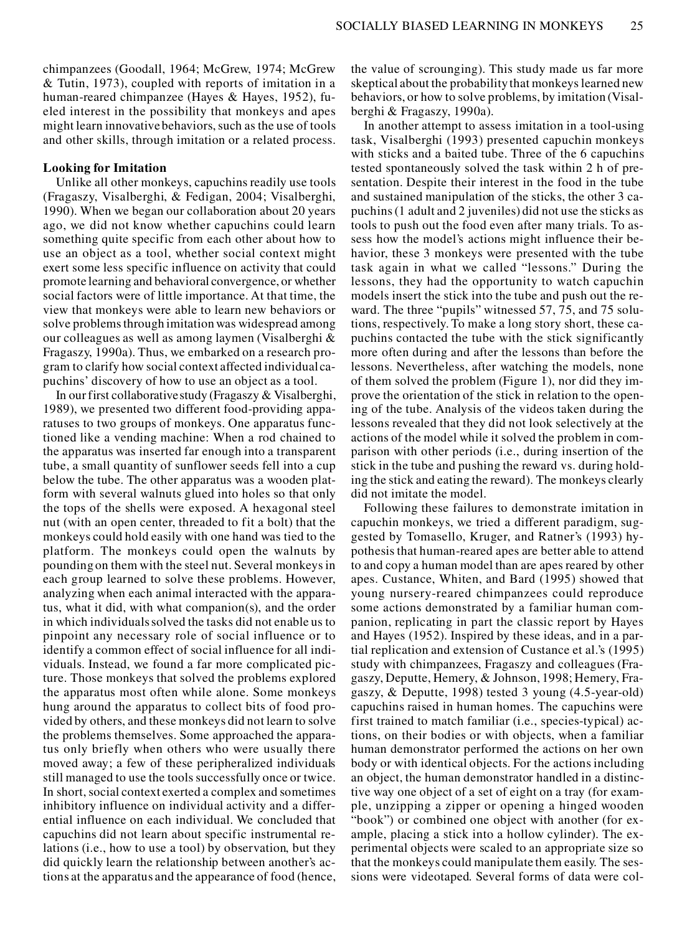chimpanzees (Goodall, 1964; McGrew, 1974; McGrew & Tutin, 1973), coupled with reports of imitation in a human-reared chimpanzee (Hayes & Hayes, 1952), fueled interest in the possibility that monkeys and apes might learn innovative behaviors, such as the use of tools and other skills, through imitation or a related process.

## **Looking for Imitation**

Unlike all other monkeys, capuchins readily use tools (Fragaszy, Visalberghi, & Fedigan, 2004; Visalberghi, 1990). When we began our collaboration about 20 years ago, we did not know whether capuchins could learn something quite specific from each other about how to use an object as a tool, whether social context might exert some less specific influence on activity that could promote learning and behavioral convergence, or whether social factors were of little importance. At that time, the view that monkeys were able to learn new behaviors or solve problems through imitation was widespread among our colleagues as well as among laymen (Visalberghi & Fragaszy, 1990a). Thus, we embarked on a research program to clarify how social context affected individual capuchins' discovery of how to use an object as a tool.

In our first collaborative study (Fragaszy & Visalberghi, 1989), we presented two different food-providing apparatuses to two groups of monkeys. One apparatus functioned like a vending machine: When a rod chained to the apparatus was inserted far enough into a transparent tube, a small quantity of sunflower seeds fell into a cup below the tube. The other apparatus was a wooden platform with several walnuts glued into holes so that only the tops of the shells were exposed. A hexagonal steel nut (with an open center, threaded to fit a bolt) that the monkeys could hold easily with one hand was tied to the platform. The monkeys could open the walnuts by pounding on them with the steel nut. Several monkeys in each group learned to solve these problems. However, analyzing when each animal interacted with the apparatus, what it did, with what companion(s), and the order in which individualssolved the tasks did not enable us to pinpoint any necessary role of social influence or to identify a common effect of social influence for all individuals. Instead, we found a far more complicated picture. Those monkeys that solved the problems explored the apparatus most often while alone. Some monkeys hung around the apparatus to collect bits of food provided by others, and these monkeys did not learn to solve the problems themselves. Some approached the apparatus only briefly when others who were usually there moved away; a few of these peripheralized individuals still managed to use the tools successfully once or twice. In short, social context exerted a complex and sometimes inhibitory influence on individual activity and a differential influence on each individual. We concluded that capuchins did not learn about specific instrumental relations (i.e., how to use a tool) by observation, but they did quickly learn the relationship between another's actions at the apparatus and the appearance of food (hence,

the value of scrounging). This study made us far more skeptical about the probability that monkeys learned new behaviors, or how to solve problems, by imitation (Visalberghi & Fragaszy, 1990a).

In another attempt to assess imitation in a tool-using task, Visalberghi (1993) presented capuchin monkeys with sticks and a baited tube. Three of the 6 capuchins tested spontaneously solved the task within 2 h of presentation. Despite their interest in the food in the tube and sustained manipulation of the sticks, the other 3 capuchins (1 adult and 2 juveniles) did not use the sticks as tools to push out the food even after many trials. To assess how the model's actions might influence their behavior, these 3 monkeys were presented with the tube task again in what we called "lessons." During the lessons, they had the opportunity to watch capuchin models insert the stick into the tube and push out the reward. The three "pupils" witnessed 57, 75, and 75 solutions, respectively. To make a long story short, these capuchins contacted the tube with the stick significantly more often during and after the lessons than before the lessons. Nevertheless, after watching the models, none of them solved the problem (Figure 1), nor did they improve the orientation of the stick in relation to the opening of the tube. Analysis of the videos taken during the lessons revealed that they did not look selectively at the actions of the model while it solved the problem in comparison with other periods (i.e., during insertion of the stick in the tube and pushing the reward vs. during holding the stick and eating the reward). The monkeys clearly did not imitate the model.

Following these failures to demonstrate imitation in capuchin monkeys, we tried a different paradigm, suggested by Tomasello, Kruger, and Ratner's (1993) hypothesis that human-reared apes are better able to attend to and copy a human model than are apes reared by other apes. Custance, Whiten, and Bard (1995) showed that young nursery-reared chimpanzees could reproduce some actions demonstrated by a familiar human companion, replicating in part the classic report by Hayes and Hayes (1952). Inspired by these ideas, and in a partial replication and extension of Custance et al.'s (1995) study with chimpanzees, Fragaszy and colleagues (Fragaszy, Deputte, Hemery, & Johnson, 1998; Hemery, Fragaszy, & Deputte, 1998) tested 3 young (4.5-year-old) capuchins raised in human homes. The capuchins were first trained to match familiar (i.e., species-typical) actions, on their bodies or with objects, when a familiar human demonstrator performed the actions on her own body or with identical objects. For the actions including an object, the human demonstrator handled in a distinctive way one object of a set of eight on a tray (for example, unzipping a zipper or opening a hinged wooden "book") or combined one object with another (for example, placing a stick into a hollow cylinder). The experimental objects were scaled to an appropriate size so that the monkeys could manipulate them easily. The sessions were videotaped. Several forms of data were col-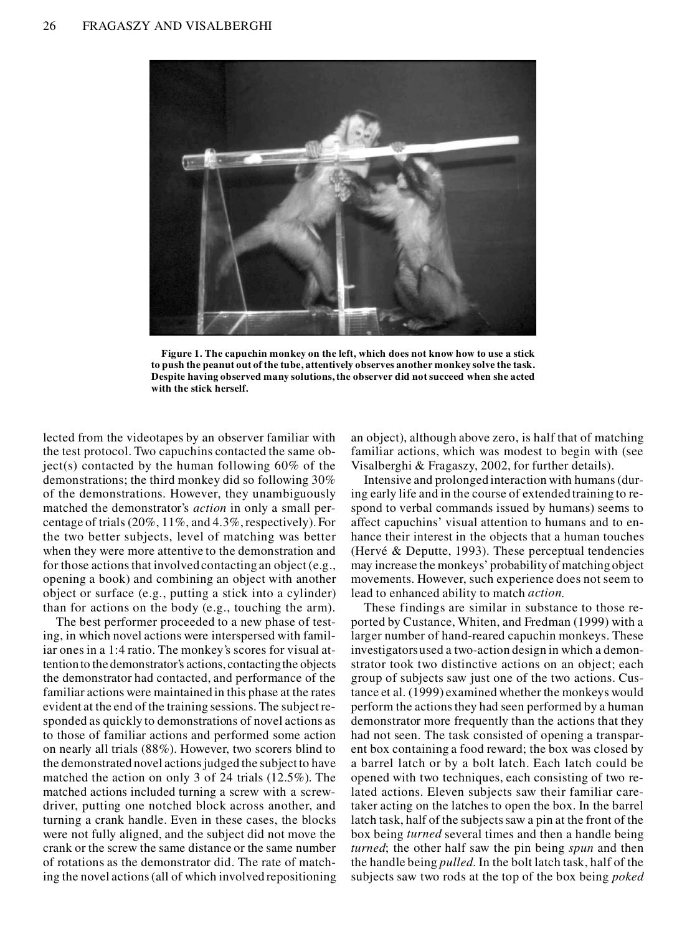

**Figure 1. The capuchin monkey on the left, which does not know how to use a stick to push the peanut out of the tube, attentively observes another monkey solve the task. Despite having observed many solutions, the observer did not succeed when she acted with the stick herself.**

lected from the videotapes by an observer familiar with the test protocol. Two capuchins contacted the same ob $ject(s)$  contacted by the human following 60% of the demonstrations; the third monkey did so following 30% of the demonstrations. However, they unambiguously matched the demonstrator's *action* in only a small percentage of trials (20%, 11%, and 4.3%, respectively). For the two better subjects, level of matching was better when they were more attentive to the demonstration and for those actions that involved contacting an object (e.g., opening a book) and combining an object with another object or surface (e.g., putting a stick into a cylinder) than for actions on the body (e.g., touching the arm).

The best performer proceeded to a new phase of testing, in which novel actions were interspersed with familiar ones in a 1:4 ratio. The monkey's scores for visual attention to the demonstrator's actions, contacting the objects the demonstrator had contacted, and performance of the familiar actions were maintained in this phase at the rates evident at the end of the training sessions. The subject responded as quickly to demonstrations of novel actions as to those of familiar actions and performed some action on nearly all trials (88%). However, two scorers blind to the demonstrated novel actions judged the subject to have matched the action on only 3 of 24 trials (12.5%). The matched actions included turning a screw with a screwdriver, putting one notched block across another, and turning a crank handle. Even in these cases, the blocks were not fully aligned, and the subject did not move the crank or the screw the same distance or the same number of rotations as the demonstrator did. The rate of matching the novel actions (all of which involved repositioning an object), although above zero, is half that of matching familiar actions, which was modest to begin with (see Visalberghi & Fragaszy, 2002, for further details).

Intensive and prolonged interaction with humans (during early life and in the course of extended training to respond to verbal commands issued by humans) seems to affect capuchins' visual attention to humans and to enhance their interest in the objects that a human touches (Hervé & Deputte, 1993). These perceptual tendencies may increase the monkeys' probability of matching object movements. However, such experience does not seem to lead to enhanced ability to match *action*.

These findings are similar in substance to those reported by Custance, Whiten, and Fredman (1999) with a larger number of hand-reared capuchin monkeys. These investigators used a two-action design in which a demonstrator took two distinctive actions on an object; each group of subjects saw just one of the two actions. Custance et al. (1999) examined whether the monkeys would perform the actions they had seen performed by a human demonstrator more frequently than the actions that they had not seen. The task consisted of opening a transparent box containing a food reward; the box was closed by a barrel latch or by a bolt latch. Each latch could be opened with two techniques, each consisting of two related actions. Eleven subjects saw their familiar caretaker acting on the latches to open the box. In the barrel latch task, half of the subjects saw a pin at the front of the box being *turned* several times and then a handle being *turned*; the other half saw the pin being *spun* and then the handle being *pulled*. In the bolt latch task, half of the subjects saw two rods at the top of the box being *poked*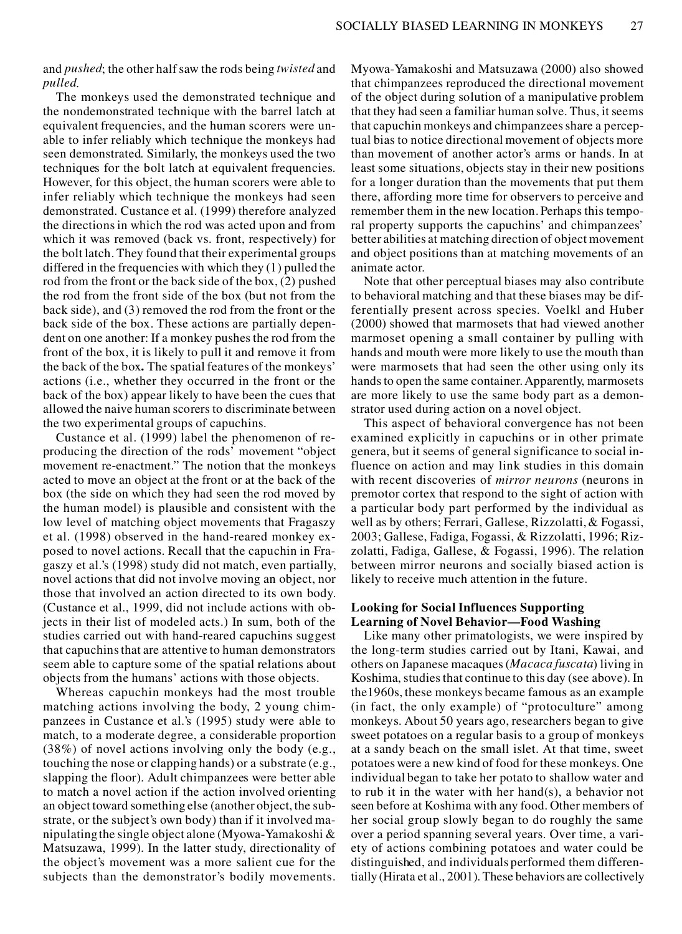and *pushed*; the other half saw the rods being *twisted* and *pulled*.

The monkeys used the demonstrated technique and the nondemonstrated technique with the barrel latch at equivalent frequencies, and the human scorers were unable to infer reliably which technique the monkeys had seen demonstrated. Similarly, the monkeys used the two techniques for the bolt latch at equivalent frequencies. However, for this object, the human scorers were able to infer reliably which technique the monkeys had seen demonstrated. Custance et al. (1999) therefore analyzed the directions in which the rod was acted upon and from which it was removed (back vs. front, respectively) for the bolt latch. They found that their experimental groups differed in the frequencies with which they (1) pulled the rod from the front or the back side of the box, (2) pushed the rod from the front side of the box (but not from the back side), and (3) removed the rod from the front or the back side of the box. These actions are partially dependent on one another: If a monkey pushes the rod from the front of the box, it is likely to pull it and remove it from the back of the box**.** The spatial features of the monkeys' actions (i.e., whether they occurred in the front or the back of the box) appear likely to have been the cues that allowed the naive human scorers to discriminate between the two experimental groups of capuchins.

Custance et al. (1999) label the phenomenon of reproducing the direction of the rods' movement "object movement re-enactment." The notion that the monkeys acted to move an object at the front or at the back of the box (the side on which they had seen the rod moved by the human model) is plausible and consistent with the low level of matching object movements that Fragaszy et al. (1998) observed in the hand-reared monkey exposed to novel actions. Recall that the capuchin in Fragaszy et al.'s (1998) study did not match, even partially, novel actions that did not involve moving an object, nor those that involved an action directed to its own body. (Custance et al., 1999, did not include actions with objects in their list of modeled acts.) In sum, both of the studies carried out with hand-reared capuchins suggest that capuchins that are attentive to human demonstrators seem able to capture some of the spatial relations about objects from the humans' actions with those objects.

Whereas capuchin monkeys had the most trouble matching actions involving the body, 2 young chimpanzees in Custance et al.'s (1995) study were able to match, to a moderate degree, a considerable proportion (38%) of novel actions involving only the body (e.g., touching the nose or clapping hands) or a substrate (e.g., slapping the floor). Adult chimpanzees were better able to match a novel action if the action involved orienting an object toward something else (another object, the substrate, or the subject's own body) than if it involved manipulatingthe single object alone (Myowa-Yamakoshi & Matsuzawa, 1999). In the latter study, directionality of the object's movement was a more salient cue for the subjects than the demonstrator's bodily movements.

Myowa-Yamakoshi and Matsuzawa (2000) also showed that chimpanzees reproduced the directional movement of the object during solution of a manipulative problem that they had seen a familiar human solve. Thus, it seems that capuchin monkeys and chimpanzeesshare a perceptual bias to notice directional movement of objects more than movement of another actor's arms or hands. In at least some situations, objects stay in their new positions for a longer duration than the movements that put them there, affording more time for observers to perceive and remember them in the new location. Perhaps this temporal property supports the capuchins' and chimpanzees' better abilities at matching direction of object movement and object positions than at matching movements of an animate actor.

Note that other perceptual biases may also contribute to behavioral matching and that these biases may be differentially present across species. Voelkl and Huber (2000) showed that marmosets that had viewed another marmoset opening a small container by pulling with hands and mouth were more likely to use the mouth than were marmosets that had seen the other using only its hands to open the same container. Apparently, marmosets are more likely to use the same body part as a demonstrator used during action on a novel object.

This aspect of behavioral convergence has not been examined explicitly in capuchins or in other primate genera, but it seems of general significance to social influence on action and may link studies in this domain with recent discoveries of *mirror neurons* (neurons in premotor cortex that respond to the sight of action with a particular body part performed by the individual as well as by others; Ferrari, Gallese, Rizzolatti, & Fogassi, 2003; Gallese, Fadiga, Fogassi, & Rizzolatti, 1996; Rizzolatti, Fadiga, Gallese, & Fogassi, 1996). The relation between mirror neurons and socially biased action is likely to receive much attention in the future.

# **Looking for Social Influences Supporting Learning of Novel Behavior—Food Washing**

Like many other primatologists, we were inspired by the long-term studies carried out by Itani, Kawai, and others on Japanese macaques (*Macaca fuscata*) living in Koshima, studies that continue to this day (see above). In the1960s, these monkeys became famous as an example (in fact, the only example) of "protoculture" among monkeys. About 50 years ago, researchers began to give sweet potatoes on a regular basis to a group of monkeys at a sandy beach on the small islet. At that time, sweet potatoes were a new kind of food for these monkeys. One individual began to take her potato to shallow water and to rub it in the water with her hand(s), a behavior not seen before at Koshima with any food. Other members of her social group slowly began to do roughly the same over a period spanning several years. Over time, a variety of actions combining potatoes and water could be distinguished, and individuals performed them differentially (Hirata et al., 2001). These behaviors are collectively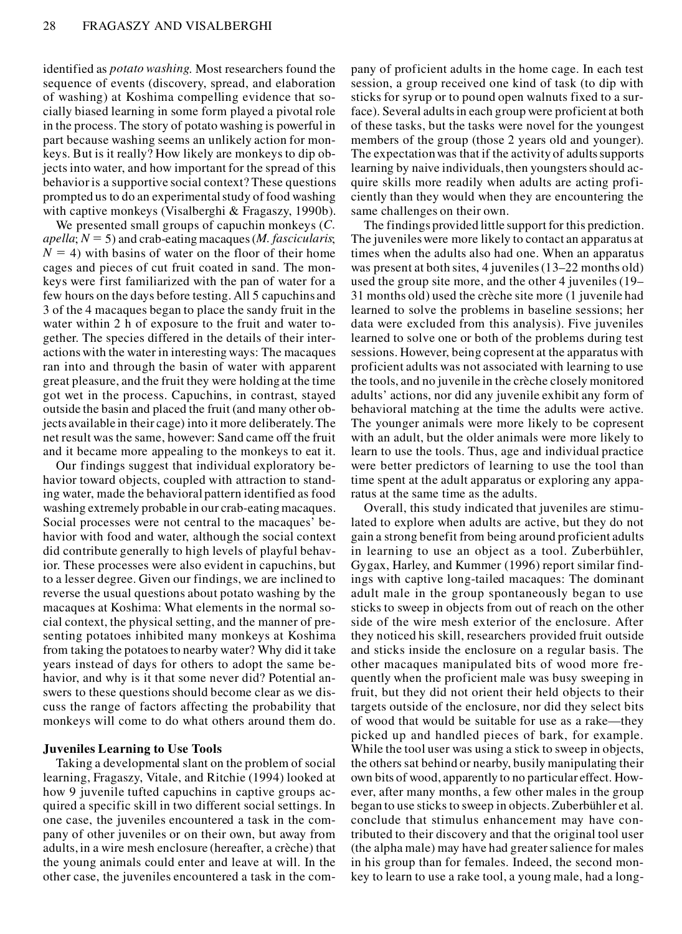identified as *potato washing*. Most researchers found the sequence of events (discovery, spread, and elaboration of washing) at Koshima compelling evidence that socially biased learning in some form played a pivotal role in the process. The story of potato washing is powerful in part because washing seems an unlikely action for monkeys. But is it really? How likely are monkeys to dip objects into water, and how important for the spread of this behavior is a supportive social context? These questions prompted us to do an experimental study of food washing with captive monkeys (Visalberghi & Fragaszy, 1990b).

We presented small groups of capuchin monkeys (*C.*  $apella$ ;  $N = 5$ ) and crab-eating macaques (*M. fascicularis*;  $N = 4$ ) with basins of water on the floor of their home cages and pieces of cut fruit coated in sand. The monkeys were first familiarized with the pan of water for a few hours on the days before testing. All 5 capuchins and 3 of the 4 macaques began to place the sandy fruit in the water within 2 h of exposure to the fruit and water together. The species differed in the details of their interactions with the water in interesting ways: The macaques ran into and through the basin of water with apparent great pleasure, and the fruit they were holding at the time got wet in the process. Capuchins, in contrast, stayed outside the basin and placed the fruit (and many other objects available in their cage) into it more deliberately. The net result was the same, however: Sand came off the fruit and it became more appealing to the monkeys to eat it.

Our findings suggest that individual exploratory behavior toward objects, coupled with attraction to standing water, made the behavioral pattern identified as food washing extremely probable in our crab-eating macaques. Social processes were not central to the macaques' behavior with food and water, although the social context did contribute generally to high levels of playful behavior. These processes were also evident in capuchins, but to a lesser degree. Given our findings, we are inclined to reverse the usual questions about potato washing by the macaques at Koshima: What elements in the normal social context, the physical setting, and the manner of presenting potatoes inhibited many monkeys at Koshima from taking the potatoes to nearby water? Why did it take years instead of days for others to adopt the same behavior, and why is it that some never did? Potential answers to these questions should become clear as we discuss the range of factors affecting the probability that monkeys will come to do what others around them do.

# **Juveniles Learning to Use Tools**

Taking a developmental slant on the problem of social learning, Fragaszy, Vitale, and Ritchie (1994) looked at how 9 juvenile tufted capuchins in captive groups acquired a specific skill in two different social settings. In one case, the juveniles encountered a task in the company of other juveniles or on their own, but away from adults, in a wire mesh enclosure (hereafter, a crèche) that the young animals could enter and leave at will. In the other case, the juveniles encountered a task in the com-

pany of proficient adults in the home cage. In each test session, a group received one kind of task (to dip with sticks for syrup or to pound open walnuts fixed to a surface). Several adults in each group were proficient at both of these tasks, but the tasks were novel for the youngest members of the group (those 2 years old and younger). The expectationwas that if the activity of adults supports learning by naive individuals, then youngsters should acquire skills more readily when adults are acting proficiently than they would when they are encountering the same challenges on their own.

The findings provided little support for this prediction. The juveniles were more likely to contact an apparatus at times when the adults also had one. When an apparatus was present at both sites, 4 juveniles (13–22 months old) used the group site more, and the other 4 juveniles (19– 31 months old) used the crèche site more (1 juvenile had learned to solve the problems in baseline sessions; her data were excluded from this analysis). Five juveniles learned to solve one or both of the problems during test sessions. However, being copresent at the apparatus with proficient adults was not associated with learning to use the tools, and no juvenile in the crèche closely monitored adults' actions, nor did any juvenile exhibit any form of behavioral matching at the time the adults were active. The younger animals were more likely to be copresent with an adult, but the older animals were more likely to learn to use the tools. Thus, age and individual practice were better predictors of learning to use the tool than time spent at the adult apparatus or exploring any apparatus at the same time as the adults.

Overall, this study indicated that juveniles are stimulated to explore when adults are active, but they do not gain a strong benefit from being around proficient adults in learning to use an object as a tool. Zuberbühler, Gygax, Harley, and Kummer (1996) report similar findings with captive long-tailed macaques: The dominant adult male in the group spontaneously began to use sticks to sweep in objects from out of reach on the other side of the wire mesh exterior of the enclosure. After they noticed his skill, researchers provided fruit outside and sticks inside the enclosure on a regular basis. The other macaques manipulated bits of wood more frequently when the proficient male was busy sweeping in fruit, but they did not orient their held objects to their targets outside of the enclosure, nor did they select bits of wood that would be suitable for use as a rake—they picked up and handled pieces of bark, for example. While the tool user was using a stick to sweep in objects, the others sat behind or nearby, busily manipulating their own bits of wood, apparently to no particular effect. However, after many months, a few other males in the group began to use sticks to sweep in objects. Zuberbühler et al. conclude that stimulus enhancement may have contributed to their discovery and that the original tool user (the alpha male) may have had greater salience for males in his group than for females. Indeed, the second monkey to learn to use a rake tool, a young male, had a long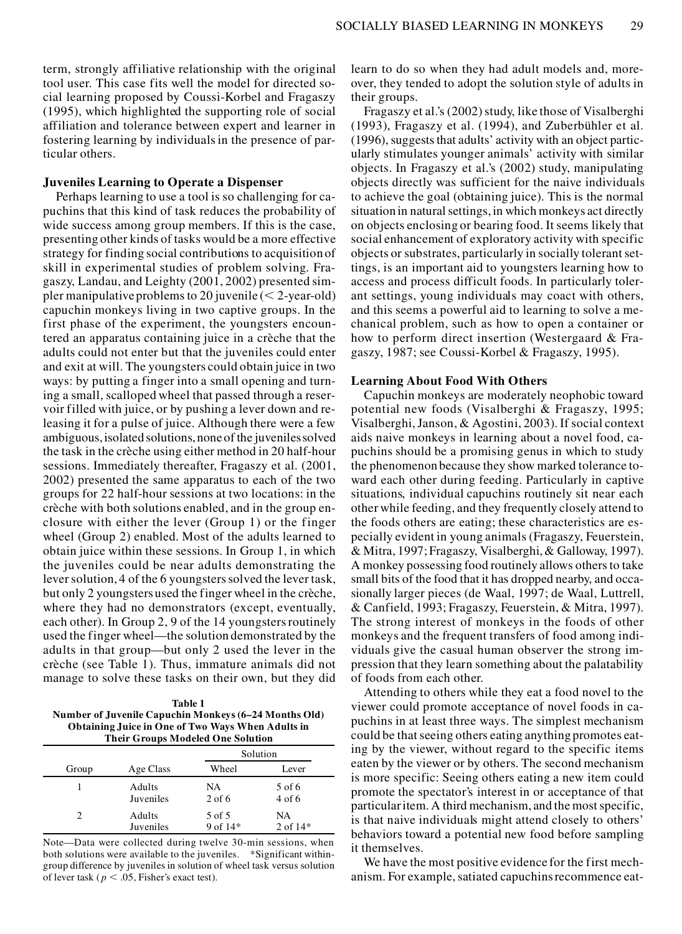term, strongly affiliative relationship with the original tool user. This case fits well the model for directed social learning proposed by Coussi-Korbel and Fragaszy (1995), which highlighted the supporting role of social affiliation and tolerance between expert and learner in fostering learning by individualsin the presence of particular others.

## **Juveniles Learning to Operate a Dispenser**

Perhaps learning to use a tool is so challenging for capuchins that this kind of task reduces the probability of wide success among group members. If this is the case, presenting other kinds of tasks would be a more effective strategy for finding social contributions to acquisition of skill in experimental studies of problem solving. Fragaszy, Landau, and Leighty (2001, 2002) presented simpler manipulative problems to 20 juvenile  $(< 2$ -year-old) capuchin monkeys living in two captive groups. In the first phase of the experiment, the youngsters encountered an apparatus containing juice in a crèche that the adults could not enter but that the juveniles could enter and exit at will. The youngsters could obtain juice in two ways: by putting a finger into a small opening and turning a small, scalloped wheel that passed through a reservoir filled with juice, or by pushing a lever down and releasing it for a pulse of juice. Although there were a few ambiguous, isolated solutions, none of the juveniles solved the task in the crèche using either method in 20 half-hour sessions. Immediately thereafter, Fragaszy et al. (2001, 2002) presented the same apparatus to each of the two groups for 22 half-hour sessions at two locations: in the crèche with both solutions enabled, and in the group enclosure with either the lever (Group 1) or the finger wheel (Group 2) enabled. Most of the adults learned to obtain juice within these sessions. In Group 1, in which the juveniles could be near adults demonstrating the lever solution, 4 of the 6 youngsters solved the lever task, but only 2 youngsters used the finger wheel in the crèche, where they had no demonstrators (except, eventually, each other). In Group 2, 9 of the 14 youngsters routinely used the finger wheel—the solution demonstrated by the adults in that group—but only 2 used the lever in the crèche (see Table 1). Thus, immature animals did not manage to solve these tasks on their own, but they did

**Table 1 Number of Juvenile Capuchin Monkeys (6–24 Months Old) Obtaining Juice in One of Two Ways When Adults in Their Groups Modeled One Solution** 

|       |           | Solution   |              |
|-------|-----------|------------|--------------|
| Group | Age Class | Wheel      | Lever        |
|       | Adults    | NA         | 5 of 6       |
|       | Juveniles | $2$ of 6   | 4 of 6       |
| 2     | Adults    | 5 of 5     | NA           |
|       | Juveniles | 9 of $14*$ | $2$ of $14*$ |

Note—Data were collected during twelve 30-min sessions, when both solutions were available to the juveniles. \*Significant withingroup difference by juveniles in solution of wheel task versus solution of lever task ( $p < .05$ , Fisher's exact test).

learn to do so when they had adult models and, moreover, they tended to adopt the solution style of adults in their groups.

Fragaszy et al.'s (2002) study, like those of Visalberghi (1993), Fragaszy et al. (1994), and Zuberbühler et al. (1996), suggests that adults' activity with an object particularly stimulates younger animals' activity with similar objects. In Fragaszy et al.'s (2002) study, manipulating objects directly was sufficient for the naive individuals to achieve the goal (obtaining juice). This is the normal situation in natural settings, in which monkeys act directly on objects enclosing or bearing food. It seems likely that social enhancement of exploratory activity with specific objects or substrates, particularly in socially tolerant settings, is an important aid to youngsters learning how to access and process difficult foods. In particularly tolerant settings, young individuals may coact with others, and this seems a powerful aid to learning to solve a mechanical problem, such as how to open a container or how to perform direct insertion (Westergaard & Fragaszy, 1987; see Coussi-Korbel & Fragaszy, 1995).

#### **Learning About Food With Others**

Capuchin monkeys are moderately neophobic toward potential new foods (Visalberghi & Fragaszy, 1995; Visalberghi, Janson, & Agostini, 2003). If social context aids naive monkeys in learning about a novel food, capuchins should be a promising genus in which to study the phenomenon because they show marked tolerance toward each other during feeding. Particularly in captive situations, individual capuchins routinely sit near each other while feeding, and they frequently closely attend to the foods others are eating; these characteristics are especially evident in young animals (Fragaszy, Feuerstein, & Mitra, 1997; Fragaszy, Visalberghi, & Galloway, 1997). A monkey possessing food routinely allows others to take small bits of the food that it has dropped nearby, and occasionally larger pieces (de Waal, 1997; de Waal, Luttrell, & Canfield, 1993; Fragaszy, Feuerstein, & Mitra, 1997). The strong interest of monkeys in the foods of other monkeys and the frequent transfers of food among individuals give the casual human observer the strong impression that they learn something about the palatability of foods from each other.

Attending to others while they eat a food novel to the viewer could promote acceptance of novel foods in capuchins in at least three ways. The simplest mechanism could be that seeing others eating anything promotes eating by the viewer, without regard to the specific items eaten by the viewer or by others. The second mechanism is more specific: Seeing others eating a new item could promote the spectator's interest in or acceptance of that particular item. A third mechanism, and the most specific, is that naive individuals might attend closely to others' behaviors toward a potential new food before sampling it themselves.

We have the most positive evidence for the first mechanism. For example, satiated capuchins recommence eat-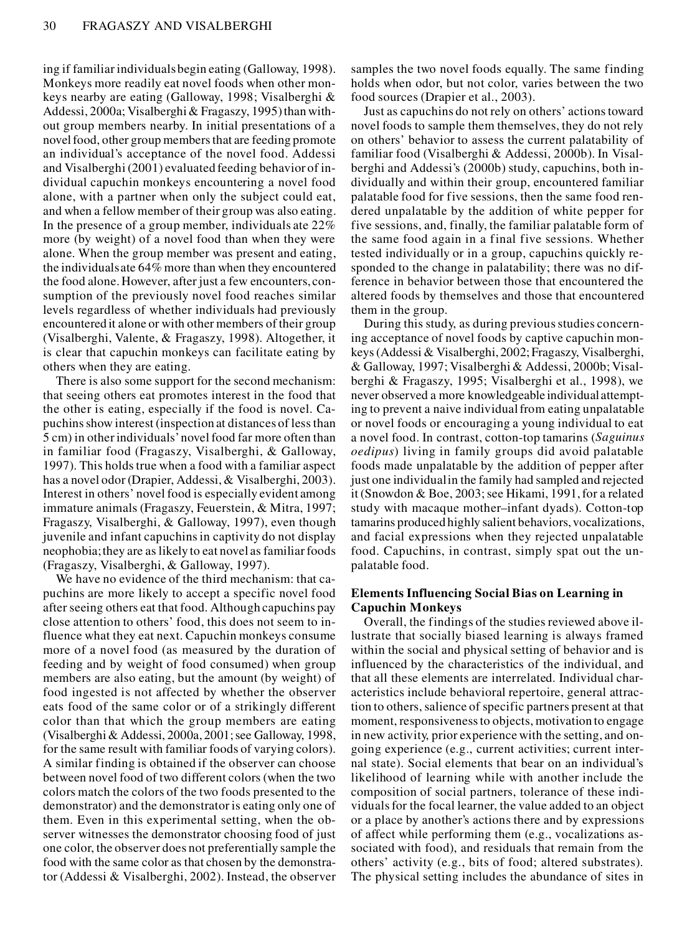ing if familiar individuals begin eating (Galloway, 1998). Monkeys more readily eat novel foods when other monkeys nearby are eating (Galloway, 1998; Visalberghi & Addessi, 2000a; Visalberghi & Fragaszy, 1995) than without group members nearby. In initial presentations of a novel food, other group members that are feeding promote an individual's acceptance of the novel food. Addessi and Visalberghi (2001) evaluated feeding behavior of individual capuchin monkeys encountering a novel food alone, with a partner when only the subject could eat, and when a fellow member of their group was also eating. In the presence of a group member, individuals ate 22% more (by weight) of a novel food than when they were alone. When the group member was present and eating, the individuals ate 64% more than when they encountered the food alone. However, after just a few encounters, consumption of the previously novel food reaches similar levels regardless of whether individuals had previously encountered it alone or with other members of their group (Visalberghi, Valente, & Fragaszy, 1998). Altogether, it is clear that capuchin monkeys can facilitate eating by others when they are eating.

There is also some support for the second mechanism: that seeing others eat promotes interest in the food that the other is eating, especially if the food is novel. Capuchins show interest (inspection at distances of less than 5 cm) in other individuals'novel food far more often than in familiar food (Fragaszy, Visalberghi, & Galloway, 1997). This holds true when a food with a familiar aspect has a novel odor (Drapier, Addessi, & Visalberghi, 2003). Interest in others' novel food is especially evident among immature animals (Fragaszy, Feuerstein, & Mitra, 1997; Fragaszy, Visalberghi, & Galloway, 1997), even though juvenile and infant capuchins in captivity do not display neophobia; they are as likely to eat novel as familiar foods (Fragaszy, Visalberghi, & Galloway, 1997).

We have no evidence of the third mechanism: that capuchins are more likely to accept a specific novel food after seeing others eat that food. Although capuchins pay close attention to others' food, this does not seem to influence what they eat next. Capuchin monkeys consume more of a novel food (as measured by the duration of feeding and by weight of food consumed) when group members are also eating, but the amount (by weight) of food ingested is not affected by whether the observer eats food of the same color or of a strikingly different color than that which the group members are eating (Visalberghi & Addessi, 2000a, 2001; see Galloway, 1998, for the same result with familiar foods of varying colors). A similar finding is obtained if the observer can choose between novel food of two different colors (when the two colors match the colors of the two foods presented to the demonstrator) and the demonstratoris eating only one of them. Even in this experimental setting, when the observer witnesses the demonstrator choosing food of just one color, the observer does not preferentially sample the food with the same color as that chosen by the demonstrator (Addessi & Visalberghi, 2002). Instead, the observer

samples the two novel foods equally. The same finding holds when odor, but not color, varies between the two food sources (Drapier et al., 2003).

Just as capuchins do not rely on others' actions toward novel foods to sample them themselves, they do not rely on others' behavior to assess the current palatability of familiar food (Visalberghi & Addessi, 2000b). In Visalberghi and Addessi's (2000b) study, capuchins, both individually and within their group, encountered familiar palatable food for five sessions, then the same food rendered unpalatable by the addition of white pepper for five sessions, and, finally, the familiar palatable form of the same food again in a final five sessions. Whether tested individually or in a group, capuchins quickly responded to the change in palatability; there was no difference in behavior between those that encountered the altered foods by themselves and those that encountered them in the group.

During this study, as during previous studies concerning acceptance of novel foods by captive capuchin monkeys (Addessi & Visalberghi, 2002; Fragaszy, Visalberghi, & Galloway, 1997; Visalberghi & Addessi, 2000b; Visalberghi & Fragaszy, 1995; Visalberghi et al., 1998), we never observed a more knowledgeable individual attempting to prevent a naive individual from eating unpalatable or novel foods or encouraging a young individual to eat a novel food. In contrast, cotton-top tamarins (*Saguinus oedipus*) living in family groups did avoid palatable foods made unpalatable by the addition of pepper after just one individual in the family had sampled and rejected it (Snowdon & Boe, 2003; see Hikami, 1991, for a related study with macaque mother–infant dyads). Cotton-top tamarins produced highly salient behaviors, vocalizations, and facial expressions when they rejected unpalatable food. Capuchins, in contrast, simply spat out the unpalatable food.

# **Elements Influencing Social Bias on Learning in Capuchin Monkeys**

Overall, the findings of the studies reviewed above illustrate that socially biased learning is always framed within the social and physical setting of behavior and is influenced by the characteristics of the individual, and that all these elements are interrelated. Individual characteristics include behavioral repertoire, general attraction to others, salience of specific partners present at that moment, responsiveness to objects, motivation to engage in new activity, prior experience with the setting, and ongoing experience (e.g., current activities; current internal state). Social elements that bear on an individual's likelihood of learning while with another include the composition of social partners, tolerance of these individuals for the focal learner, the value added to an object or a place by another's actions there and by expressions of affect while performing them (e.g., vocalizations associated with food), and residuals that remain from the others' activity (e.g., bits of food; altered substrates). The physical setting includes the abundance of sites in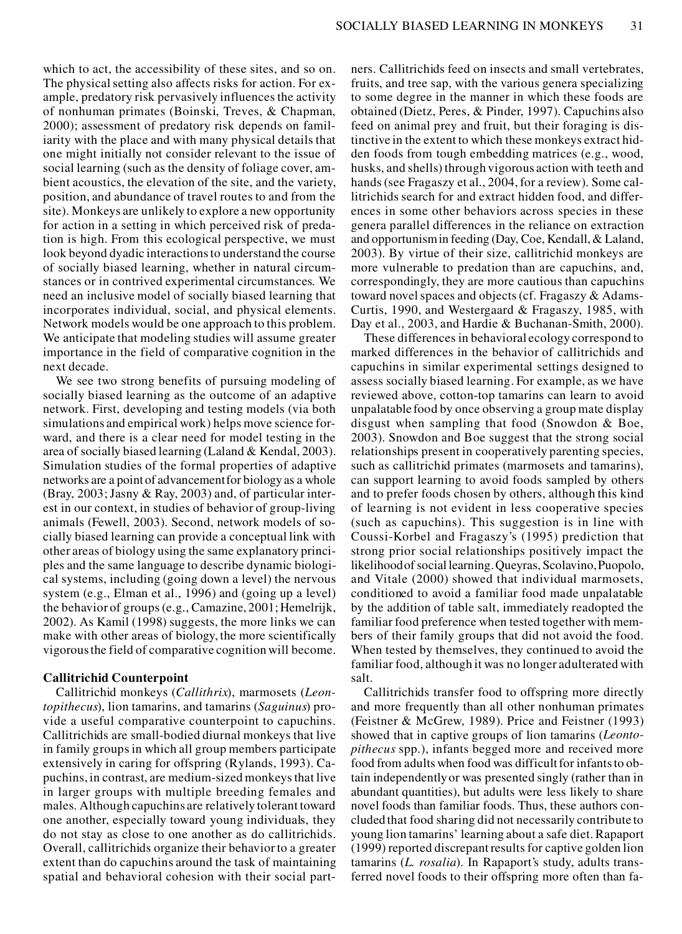which to act, the accessibility of these sites, and so on. The physical setting also affects risks for action. For example, predatory risk pervasively influences the activity of nonhuman primates (Boinski, Treves, & Chapman, 2000); assessment of predatory risk depends on familiarity with the place and with many physical details that one might initially not consider relevant to the issue of social learning (such as the density of foliage cover, ambient acoustics, the elevation of the site, and the variety, position, and abundance of travel routes to and from the site). Monkeys are unlikely to explore a new opportunity for action in a setting in which perceived risk of predation is high. From this ecological perspective, we must look beyond dyadic interactions to understand the course of socially biased learning, whether in natural circumstances or in contrived experimental circumstances. We need an inclusive model of socially biased learning that incorporates individual, social, and physical elements. Network models would be one approach to this problem. We anticipate that modeling studies will assume greater importance in the field of comparative cognition in the next decade.

We see two strong benefits of pursuing modeling of socially biased learning as the outcome of an adaptive network. First, developing and testing models (via both simulations and empirical work) helps move science forward, and there is a clear need for model testing in the area of socially biased learning (Laland & Kendal, 2003). Simulation studies of the formal properties of adaptive networks are a point of advancement for biology as a whole (Bray, 2003; Jasny & Ray, 2003) and, of particular interest in our context, in studies of behavior of group-living animals (Fewell, 2003). Second, network models of socially biased learning can provide a conceptual link with other areas of biology using the same explanatory principles and the same language to describe dynamic biological systems, including (going down a level) the nervous system (e.g., Elman et al., 1996) and (going up a level) the behavior of groups (e.g., Camazine, 2001; Hemelrijk, 2002). As Kamil (1998) suggests, the more links we can make with other areas of biology, the more scientifically vigorous the field of comparative cognition will become.

# **Callitrichid Counterpoint**

Callitrichid monkeys (*Callithrix*), marmosets (*Leontopithecus*), lion tamarins, and tamarins (*Saguinus*) provide a useful comparative counterpoint to capuchins. Callitrichids are small-bodied diurnal monkeys that live in family groups in which all group members participate extensively in caring for offspring (Rylands, 1993). Capuchins, in contrast, are medium-sized monkeys that live in larger groups with multiple breeding females and males. Although capuchins are relatively tolerant toward one another, especially toward young individuals, they do not stay as close to one another as do callitrichids. Overall, callitrichids organize their behavior to a greater extent than do capuchins around the task of maintaining spatial and behavioral cohesion with their social part-

ners. Callitrichids feed on insects and small vertebrates, fruits, and tree sap, with the various genera specializing to some degree in the manner in which these foods are obtained (Dietz, Peres, & Pinder, 1997). Capuchins also feed on animal prey and fruit, but their foraging is distinctive in the extent to which these monkeys extract hidden foods from tough embedding matrices (e.g., wood, husks, and shells) through vigorous action with teeth and hands (see Fragaszy et al., 2004, for a review). Some callitrichids search for and extract hidden food, and differences in some other behaviors across species in these genera parallel differences in the reliance on extraction and opportunism in feeding (Day, Coe, Kendall, & Laland, 2003). By virtue of their size, callitrichid monkeys are more vulnerable to predation than are capuchins, and, correspondingly, they are more cautious than capuchins toward novel spaces and objects (cf. Fragaszy & Adams-Curtis, 1990, and Westergaard & Fragaszy, 1985, with Day et al., 2003, and Hardie & Buchanan-Smith, 2000).

These differences in behavioral ecology correspond to marked differences in the behavior of callitrichids and capuchins in similar experimental settings designed to assess socially biased learning. For example, as we have reviewed above, cotton-top tamarins can learn to avoid unpalatable food by once observing a group mate display disgust when sampling that food (Snowdon & Boe, 2003). Snowdon and Boe suggest that the strong social relationships present in cooperatively parenting species, such as callitrichid primates (marmosets and tamarins), can support learning to avoid foods sampled by others and to prefer foods chosen by others, although this kind of learning is not evident in less cooperative species (such as capuchins). This suggestion is in line with Coussi-Korbel and Fragaszy's (1995) prediction that strong prior social relationships positively impact the likelihood of social learning. Queyras, Scolavino, Puopolo, and Vitale (2000) showed that individual marmosets, conditioned to avoid a familiar food made unpalatable by the addition of table salt, immediately readopted the familiar food preference when tested together with members of their family groups that did not avoid the food. When tested by themselves, they continued to avoid the familiar food, although it was no longer adulterated with salt.

Callitrichids transfer food to offspring more directly and more frequently than all other nonhuman primates (Feistner & McGrew, 1989). Price and Feistner (1993) showed that in captive groups of lion tamarins (*Leontopithecus* spp.), infants begged more and received more food from adults when food was difficult for infants to obtain independently or was presented singly (rather than in abundant quantities), but adults were less likely to share novel foods than familiar foods. Thus, these authors concluded that food sharing did not necessarily contribute to young lion tamarins' learning about a safe diet. Rapaport (1999) reported discrepant results for captive golden lion tamarins (*L. rosalia*). In Rapaport's study, adults transferred novel foods to their offspring more often than fa-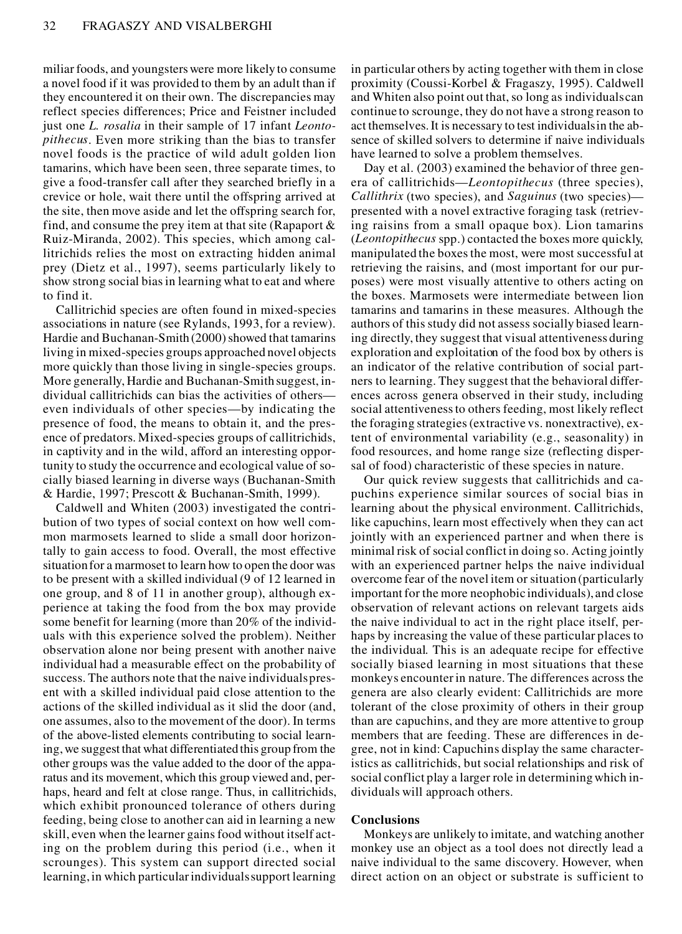miliar foods, and youngsters were more likely to consume a novel food if it was provided to them by an adult than if they encountered it on their own. The discrepancies may reflect species differences; Price and Feistner included just one *L. rosalia* in their sample of 17 infant *Leontopithecus*. Even more striking than the bias to transfer novel foods is the practice of wild adult golden lion tamarins, which have been seen, three separate times, to give a food-transfer call after they searched briefly in a crevice or hole, wait there until the offspring arrived at the site, then move aside and let the offspring search for, find, and consume the prey item at that site (Rapaport  $\&$ Ruiz-Miranda, 2002). This species, which among callitrichids relies the most on extracting hidden animal prey (Dietz et al., 1997), seems particularly likely to show strong social bias in learning what to eat and where to find it.

Callitrichid species are often found in mixed-species associations in nature (see Rylands, 1993, for a review). Hardie and Buchanan-Smith (2000) showed that tamarins living in mixed-species groups approached novel objects more quickly than those living in single-species groups. More generally, Hardie and Buchanan-Smith suggest, individual callitrichids can bias the activities of others even individuals of other species—by indicating the presence of food, the means to obtain it, and the presence of predators. Mixed-species groups of callitrichids, in captivity and in the wild, afford an interesting opportunity to study the occurrence and ecological value of socially biased learning in diverse ways (Buchanan-Smith & Hardie, 1997; Prescott & Buchanan-Smith, 1999).

Caldwell and Whiten (2003) investigated the contribution of two types of social context on how well common marmosets learned to slide a small door horizontally to gain access to food. Overall, the most effective situation for a marmoset to learn how to open the door was to be present with a skilled individual (9 of 12 learned in one group, and 8 of 11 in another group), although experience at taking the food from the box may provide some benefit for learning (more than 20% of the individuals with this experience solved the problem). Neither observation alone nor being present with another naive individual had a measurable effect on the probability of success. The authors note that the naive individuals present with a skilled individual paid close attention to the actions of the skilled individual as it slid the door (and, one assumes, also to the movement of the door). In terms of the above-listed elements contributing to social learning, we suggest that what differentiated this group from the other groups was the value added to the door of the apparatus and its movement, which this group viewed and, perhaps, heard and felt at close range. Thus, in callitrichids, which exhibit pronounced tolerance of others during feeding, being close to another can aid in learning a new skill, even when the learner gains food without itself acting on the problem during this period (i.e., when it scrounges). This system can support directed social learning, in which particular individuals support learning

in particular others by acting together with them in close proximity (Coussi-Korbel & Fragaszy, 1995). Caldwell and Whiten also point out that, so long as individuals can continue to scrounge, they do not have a strong reason to act themselves. It is necessary to test individuals in the absence of skilled solvers to determine if naive individuals have learned to solve a problem themselves.

Day et al. (2003) examined the behavior of three genera of callitrichids—*Leontopithecus* (three species), *Callithrix* (two species), and *Saguinus* (two species) presented with a novel extractive foraging task (retrieving raisins from a small opaque box). Lion tamarins (*Leontopithecus* spp.) contacted the boxes more quickly, manipulated the boxes the most, were most successful at retrieving the raisins, and (most important for our purposes) were most visually attentive to others acting on the boxes. Marmosets were intermediate between lion tamarins and tamarins in these measures. Although the authors of this study did not assess socially biased learning directly, they suggest that visual attentiveness during exploration and exploitation of the food box by others is an indicator of the relative contribution of social partners to learning. They suggest that the behavioral differences across genera observed in their study, including social attentivenessto others feeding, most likely reflect the foraging strategies (extractive vs. nonextractive), extent of environmental variability (e.g., seasonality) in food resources, and home range size (reflecting dispersal of food) characteristic of these species in nature.

Our quick review suggests that callitrichids and capuchins experience similar sources of social bias in learning about the physical environment. Callitrichids, like capuchins, learn most effectively when they can act jointly with an experienced partner and when there is minimal risk of social conflict in doing so. Acting jointly with an experienced partner helps the naive individual overcome fear of the novel item or situation (particularly important for the more neophobic individuals), and close observation of relevant actions on relevant targets aids the naive individual to act in the right place itself, perhaps by increasing the value of these particular places to the individual. This is an adequate recipe for effective socially biased learning in most situations that these monkeys encounter in nature. The differences across the genera are also clearly evident: Callitrichids are more tolerant of the close proximity of others in their group than are capuchins, and they are more attentive to group members that are feeding. These are differences in degree, not in kind: Capuchins display the same characteristics as callitrichids, but social relationships and risk of social conflict play a larger role in determining which individuals will approach others.

## **Conclusions**

Monkeys are unlikely to imitate, and watching another monkey use an object as a tool does not directly lead a naive individual to the same discovery. However, when direct action on an object or substrate is sufficient to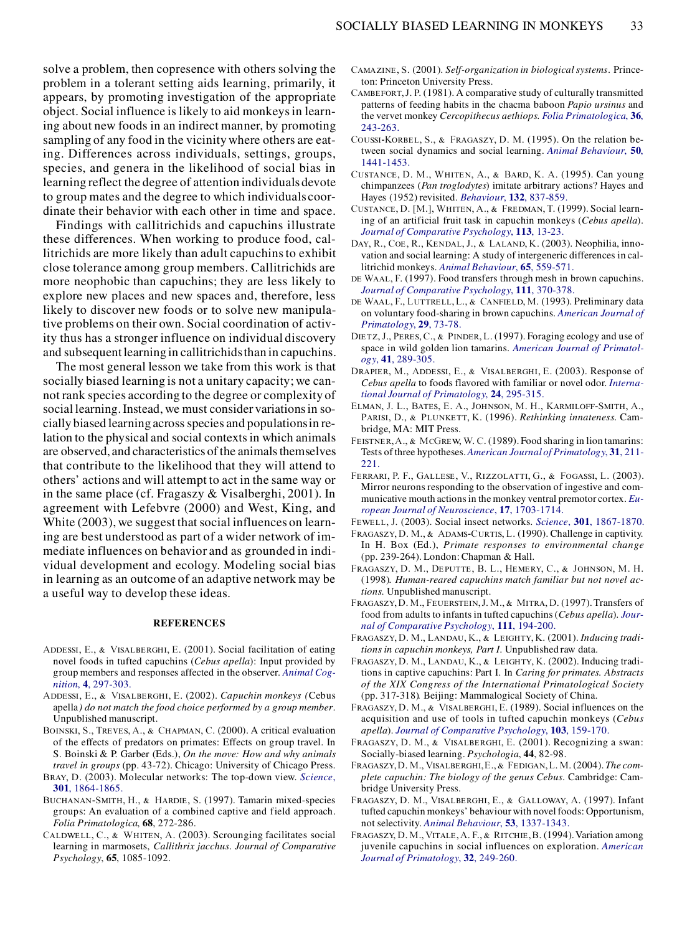solve a problem, then copresence with others solving the problem in a tolerant setting aids learning, primarily, it appears, by promoting investigation of the appropriate object. Social influence is likely to aid monkeys in learning about new foods in an indirect manner, by promoting sampling of any food in the vicinity where others are eating. Differences across individuals, settings, groups, species, and genera in the likelihood of social bias in learning reflect the degree of attention individuals devote to group mates and the degree to which individuals coordinate their behavior with each other in time and space.

Findings with callitrichids and capuchins illustrate these differences. When working to produce food, callitrichids are more likely than adult capuchins to exhibit close tolerance among group members. Callitrichids are more neophobic than capuchins; they are less likely to explore new places and new spaces and, therefore, less likely to discover new foods or to solve new manipulative problems on their own. Social coordination of activity thus has a stronger influence on individual discovery and subsequent learning in callitrichids than in capuchins.

The most general lesson we take from this work is that socially biased learning is not a unitary capacity; we cannot rank species according to the degree or complexity of social learning. Instead, we must consider variations in socially biased learning across species and populations in relation to the physical and social contexts in which animals are observed, and characteristics of the animals themselves that contribute to the likelihood that they will attend to others' actions and will attempt to act in the same way or in the same place (cf. Fragaszy & Visalberghi, 2001). In agreement with Lefebvre (2000) and West, King, and White (2003), we suggest that social influences on learning are best understood as part of a wider network of immediate influences on behavior and as grounded in individual development and ecology. Modeling social bias in learning as an outcome of an adaptive network may be a useful way to develop these ideas.

## **REFERENCES**

- ADDESSI, E., & VISALBERGHI, E. (2001). Social facilitation of eating novel foods in tufted capuchins (*Cebus apella*): Input provided by group members and responses affected in the observer. *[Animal Cog](http://www.ingentaconnect.com/content/external-references?article=/1435-9448^28^294L.297[aid=5771593])nition*, **4**[, 297-303.](http://www.ingentaconnect.com/content/external-references?article=/1435-9448^28^294L.297[aid=5771593])
- Addessi, E., & Visalberghi, E. (2002). *Capuchin monkeys (*Cebus apella*) do not match the food choice performed by a group member*. Unpublished manuscript.
- Boinski, S., Treves, A., & Chapman, C. (2000). A critical evaluation of the effects of predators on primates: Effects on group travel. In S. Boinski & P. Garber (Eds.), *On the move: How and why animals travel in groups* (pp. 43-72). Chicago: University of Chicago Press.
- Bray, D. (2003). Molecular networks: The top-down view. *[Science](http://www.ingentaconnect.com/content/external-references?article=/0036-8075^28^29301L.1864[aid=5771594])*, **301**[, 1864-1865.](http://www.ingentaconnect.com/content/external-references?article=/0036-8075^28^29301L.1864[aid=5771594])
- Buchanan-Smith, H., & Hardie, S. (1997). Tamarin mixed-species groups: An evaluation of a combined captive and field approach. *Folia Primatologica*, **68**, 272-286.
- CALDWELL, C., & WHITEN, A. (2003). Scrounging facilitates social learning in marmosets, *Callithrix jacchus*. *Journal of Comparative Psychology*, **65**, 1085-1092.
- Camazine, S. (2001). *Self-organization in biological systems*. Princeton: Princeton University Press.
- Cambefort, J. P. (1981). A comparative study of culturally transmitted patterns of feeding habits in the chacma baboon *Papio ursinus* and the vervet monkey *Cercopithecus aethiops*. *[Folia Primatologica](http://www.ingentaconnect.com/content/external-references?article=/0015-5713^28^2936L.243[aid=5771597])*, **36**, [243-263.](http://www.ingentaconnect.com/content/external-references?article=/0015-5713^28^2936L.243[aid=5771597])
- Coussi-Korbel, S., & Fragaszy, D. M. (1995). On the relation between social dynamics and social learning. *[Animal Behaviour](http://www.ingentaconnect.com/content/external-references?article=/0003-3472^28^2950L.1441[aid=28872])*, **50**, [1441-1453.](http://www.ingentaconnect.com/content/external-references?article=/0003-3472^28^2950L.1441[aid=28872])
- Custance, D. M., Whiten, A., & Bard, K. A. (1995). Can young chimpanzees (*Pan troglodytes*) imitate arbitrary actions? Hayes and Hayes (1952) revisited. *[Behaviour](http://www.ingentaconnect.com/content/external-references?article=/0005-7959^28^29132L.837[aid=892674])*, **132**, 837-859.
- Custance, D. [M.], Whiten, A., & Fredman, T. (1999). Social learning of an artificial fruit task in capuchin monkeys (*Cebus apella*). *[Journal of Comparative Psychology](http://www.ingentaconnect.com/content/external-references?article=/0735-7036^28^29113L.13[aid=892610])*, **113**, 13-23.
- DAY, R., COE, R., KENDAL, J., & LALAND, K. (2003). Neophilia, innovation and social learning: A study of intergeneric differences in callitrichid monkeys. *[Animal Behaviour](http://www.ingentaconnect.com/content/external-references?article=/0003-3472^28^2965L.559[aid=5293112])*, **65**, 559-571.
- DE WAAL, F. (1997). Food transfers through mesh in brown capuchins. *[Journal of Comparative Psychology](http://www.ingentaconnect.com/content/external-references?article=/0735-7036^28^29111L.370[aid=2756018])*, **111**, 370-378.
- DE WAAL, F., LUTTRELL, L., & CANFIELD, M. (1993). Preliminary data on voluntary food-sharing in brown capuchins. *[American Journal of](http://www.ingentaconnect.com/content/external-references?article=/0275-2565^28^2929L.73[aid=5771598]) [Primatology](http://www.ingentaconnect.com/content/external-references?article=/0275-2565^28^2929L.73[aid=5771598])*, **29**, 73-78.
- DIETZ, J., PERES, C., & PINDER, L. (1997). Foraging ecology and use of space in wild golden lion tamarins. *[American Journal of Primatol](http://www.ingentaconnect.com/content/external-references?article=/0275-2565^28^2941L.289[aid=4874472])ogy*, **41**[, 289-305.](http://www.ingentaconnect.com/content/external-references?article=/0275-2565^28^2941L.289[aid=4874472])
- Drapier, M., Addessi, E., & Visalberghi, E. (2003). Response of *Cebus apella* to foods flavored with familiar or novel odor. *[Interna](http://www.ingentaconnect.com/content/external-references?article=/0164-0291^28^2924L.295[aid=5771599])[tional Journal of Primatology](http://www.ingentaconnect.com/content/external-references?article=/0164-0291^28^2924L.295[aid=5771599])*, **24**, 295-315.
- Elman, J. L., Bates, E. A., Johnson, M. H., Karmiloff-Smith, A., Parisi, D., & Plunkett, K. (1996). *Rethinking innateness*. Cambridge, MA: MIT Press.
- Feistner, A., & McGrew, W. C. (1989). Food sharing in lion tamarins: Tests of three hypotheses. *[American Journal of Primatology](http://www.ingentaconnect.com/content/external-references?article=/0275-2565^28^2931L.211^20221[aid=2312714])*, **31**, 211- [221.](http://www.ingentaconnect.com/content/external-references?article=/0275-2565^28^2931L.211^20221[aid=2312714])
- Ferrari, P. F., Gallese, V., Rizzolatti, G., & Fogassi, L. (2003). Mirror neurons responding to the observation of ingestive and com municative mouth actions in the monkey ventral premotor cortex. *[Eu](http://www.ingentaconnect.com/content/external-references?article=/0953-816X^28^2917L.1703[aid=5771600])[ropean Journal of Neuroscience](http://www.ingentaconnect.com/content/external-references?article=/0953-816X^28^2917L.1703[aid=5771600])*, **17**, 1703-1714.

Fewell, J. (2003). Social insect networks. *Science*, **301**[, 1867-1870.](http://www.ingentaconnect.com/content/external-references?article=/0036-8075^28^29301L.1867[aid=5771601])

- FRAGASZY, D. M., & ADAMS-CURTIS, L. (1990). Challenge in captivity. In H. Box (Ed.), *Primate responses to environmental change* (pp. 239-264). London: Chapman & Hall.
- Fragaszy, D. M., Deputte, B. L., Hemery, C., & Johnson, M. H. (1998)*. Human-reared capuchins match familiar but not novel actions*. Unpublished manuscript.
- Fragaszy, D. M., Feuerstein, J. M., & Mitra, D. (1997). Transfers of food from adults to infants in tufted capuchins (*Cebus apella*). *[Jour](http://www.ingentaconnect.com/content/external-references?article=/0735-7036^28^29111L.194[aid=5771602])[nal of Comparative Psychology](http://www.ingentaconnect.com/content/external-references?article=/0735-7036^28^29111L.194[aid=5771602])*, **111**, 194-200.
- Fragaszy, D. M., Landau, K., & Leighty, K. (2001). *Inducing traditions in capuchin monkeys, Part I*. Unpublished raw data.
- Fragaszy, D. M., Landau, K., & Leighty, K. (2002). Inducing traditions in captive capuchins: Part I. In *Caring for primates. Abstracts of the XIX Congress of the International Primatological Society* (pp. 317-318)*.* Beijing: Mammalogical Society of China.
- Fragaszy, D. M., & Visalberghi, E. (1989). Social influences on the acquisition and use of tools in tufted capuchin monkeys (*Cebus apella*). *[Journal of Comparative Psychology](http://www.ingentaconnect.com/content/external-references?article=/0735-7036^28^29103L.159[aid=892616])*, **103**, 159-170.
- Fragaszy, D. M., & Visalberghi, E. (2001). Recognizing a swan: Socially-biased learning. *Psychologia*, **44**, 82-98.
- Fragaszy, D. M., Visalberghi, E., & Fedigan, L. M. (2004). *The com plete capuchin: The biology of the genus Cebus*. Cambridge: Cambridge University Press.
- Fragaszy, D. M., Visalberghi, E., & Galloway, A. (1997). Infant tufted capuchin monkeys' behaviour with novel foods: Opportunism, not selectivity. *[Animal Behaviour](http://www.ingentaconnect.com/content/external-references?article=/0003-3472^28^2953L.1337[aid=5771603])*, **53**, 1337-1343.
- Fragaszy, D. M., Vitale, A. F., & Ritchie, B. (1994). Variation among juvenile capuchins in social influences on exploration. *[American](http://www.ingentaconnect.com/content/external-references?article=/0275-2565^28^2932L.249[aid=5771604]) [Journal of Primatology](http://www.ingentaconnect.com/content/external-references?article=/0275-2565^28^2932L.249[aid=5771604])*, **32**, 249-260.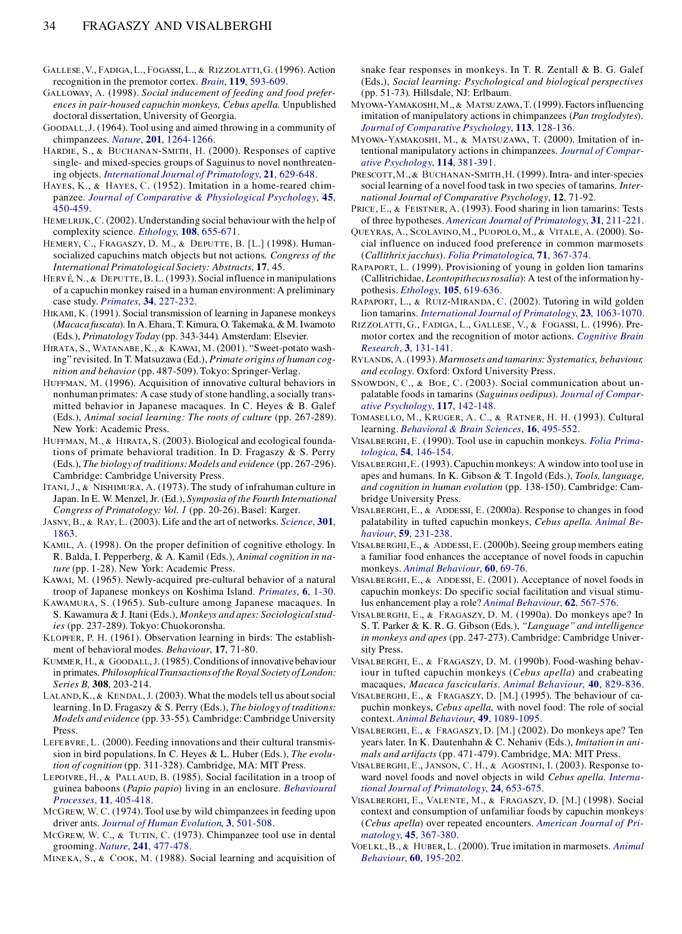- Gallese, V., Fadiga, L., Fogassi, L., & Rizzolatti, G. (1996). Action recognition in the premotor cortex. *Brain*, **119**[, 593-609.](http://www.ingentaconnect.com/content/external-references?article=/0006-8950^28^29119L.593[aid=296606])
- Galloway, A. (1998). *Social inducement of feeding and food prefer ences in pair-housed capuchin monkeys, Cebus apella*. Unpublished doctoral dissertation, University of Georgia.
- Goodall, J. (1964). Tool using and aimed throwing in a community of chimpanzees. *Nature*, **201**[, 1264-1266.](http://www.ingentaconnect.com/content/external-references?article=/0028-0836^28^29201L.1264[aid=2312710])
- Hardie, S., & Buchanan-Smith, H. (2000). Responses of captive single- and mixed-species groups of Saguinus to novel nonthreatening objects. *[International Journal of Primatology](http://www.ingentaconnect.com/content/external-references?article=/0164-0291^28^2921L.629[aid=5771605])*, **21**, 629-648.
- Hayes, K., & Hayes, C. (1952). Imitation in a home-reared chimpanzee. *[Journal of Comparative & Physiological Psychology](http://www.ingentaconnect.com/content/external-references?article=/0021-9940^28^2945L.450[aid=892629])*, **45**, [450-459.](http://www.ingentaconnect.com/content/external-references?article=/0021-9940^28^2945L.450[aid=892629])
- HEMELRIJK, C. (2002). Understanding social behaviour with the help of complexity science. *Ethology*, **108**[, 655-671.](http://www.ingentaconnect.com/content/external-references?article=/0179-1613^28^29108L.655[aid=5771606])
- HEMERY, C., FRAGASZY, D. M., & DEPUTTE, B. [L.] (1998). Humansocialized capuchins match objects but not actions*. Congress of the International Primatological Society: Abstracts*, **17**, 45.
- HERVÉ, N., & DEPUTTE, B. L. (1993). Social influence in manipulations of a capuchin monkey raised in a human environment: A preliminary case study. *Primates*, **34**[, 227-232.](http://www.ingentaconnect.com/content/external-references?article=/0032-8332^28^2934L.227[aid=5771607])
- HIKAMI, K. (1991). Social transmission of learning in Japanese monkeys (*Macaca fuscata*). In A.Ehara, T. Kimura, O. Takemaka, & M.Iwamoto (Eds.), *Primatology Today* (pp. 343-344)*.* Amsterdam: Elsevier.
- HIRATA, S., WATANABE, K., & KAWAI, M. (2001). "Sweet-potato washing" revisited. In T. Matsuzawa (Ed.), *Primate origins of human cognition and behavior* (pp. 487-509). Tokyo: Springer-Verlag.
- HUFFMAN, M. (1996). Acquisition of innovative cultural behaviors in nonhuman primates: A case study of stone handling, a socially transmitted behavior in Japanese macaques. In C. Heyes & B. Galef (Eds.), Animal social learning: The roots of culture (pp. 267-289). New York: Academic Press.
- HUFFMAN, M., & HIRATA, S. (2003). Biological and ecological foundations of primate behavioral tradition. In D. Fragaszy & S. Perry (Eds.), *The biology of traditions: Models and evidence* (pp. 267-296). Cambridge: Cambridge University Press.
- Itani, J., & Nishimura, A. (1973). The study of infrahuman culture in Japan. In E. W. Menzel, Jr. (Ed.), *Symposia of the Fourth International Congress of Primatology: Vol. 1* (pp. 20-26). Basel: Karger.
- Jasny, B., & Ray, L. (2003). Life and the art of networks. *[Science](http://www.ingentaconnect.com/content/external-references?article=/0036-8075^28^29301L.1863[aid=5771608])*, **301**, [1863.](http://www.ingentaconnect.com/content/external-references?article=/0036-8075^28^29301L.1863[aid=5771608])
- Kamil, A. (1998). On the proper definition of cognitive ethology. In R. Balda, I. Pepperberg, & A. Kamil (Eds.), *Animal cognition in nature* (pp. 1-28). New York: Academic Press.
- Kawai, M. (1965). Newly-acquired pre-cultural behavior of a natural troop of Japanese monkeys on Koshima Island. *[Primates](http://www.ingentaconnect.com/content/external-references?article=/0032-8332^28^296L.1[aid=5771560])*, **6**, 1-30.
- Kawamura, S. (1965). Sub-culture among Japanese macaques. In S. Kawamura & J. Itani (Eds.), *Monkeys and apes: Sociological studies* (pp. 237-289). Tokyo: Chuokoronsha.
- Klopfer, P. H. (1961). Observation learning in birds: The establishment of behavioral modes. *Behaviour*, **17**, 71-80.
- KUMMER, H., & GOODALL, J. (1985). Conditions of innovative behaviour in primates. *Philosophical Transactions of the Royal Society of London: Series B,* **308**, 203-214.
- LALAND, K., & KENDAL, J. (2003). What the models tell us about social learning. In D. Fragaszy & S. Perry (Eds.), *The biology of traditions: Models and evidence* (pp. 33-55)*.* Cambridge: Cambridge University Press.
- LEFEBVRE, L. (2000). Feeding innovations and their cultural transmission in bird populations. In C. Heyes & L. Huber (Eds.), *The evolution of cognition* (pp. 311-328). Cambridge, MA: MIT Press.
- LEPOIVRE, H., & PALLAUD, B. (1985). Social facilitation in a troop of guinea baboons (*Papio papio*) living in an enclosure. *[Behavioural](http://www.ingentaconnect.com/content/external-references?article=/0376-6357^28^2911L.405[aid=5771610]) Processes*, **11**[, 405-418.](http://www.ingentaconnect.com/content/external-references?article=/0376-6357^28^2911L.405[aid=5771610])
- McGrew, W. C. (1974). Tool use by wild chimpanzees in feeding upon driver ants. *[Journal of Human Evolution](http://www.ingentaconnect.com/content/external-references?article=/0047-2484^28^293L.501[aid=2295999])*, **3**, 501-508.
- McGrew, W. C., & Tutin, C. (1973). Chimpanzee tool use in dental grooming. *Nature*, **241**[, 477-478.](http://www.ingentaconnect.com/content/external-references?article=/0028-0836^28^29241L.477[aid=5771611])
- Mineka, S., & Cook, M. (1988). Social learning and acquisition of

snake fear responses in monkeys. In T. R. Zentall & B. G. Galef (Eds.), *Social learning: Psychological and biological perspectives* (pp. 51-73)*.* Hillsdale, NJ: Erlbaum.

- Myowa-Yamakoshi, M., & Matsuzawa, T. (1999). Factors influencing imitation of manipulatory actions in chimpanzees (*Pan troglodytes*). *[Journal of Comparative Psychology](http://www.ingentaconnect.com/content/external-references?article=/0735-7036^28^29113L.128[aid=892676])*, **113**, 128-136.
- Myowa-Yamakoshi, M., & Matsuzawa, T. (2000). Imitation of intentional manipulatory actions in chimpanzees. *[Journal of Compar](http://www.ingentaconnect.com/content/external-references?article=/0735-7036^28^29114L.381[aid=5178003])[ative Psychology](http://www.ingentaconnect.com/content/external-references?article=/0735-7036^28^29114L.381[aid=5178003])*, **114**, 381-391.
- PRESCOTT, M., & BUCHANAN-SMITH, H. (1999). Intra- and inter-species social learning of a novel food task in two species of tamarins. *International Journal of Comparative Psychology*, **12**, 71-92.
- PRICE, E., & FEISTNER, A. (1993). Food sharing in lion tamarins: Tests of three hypotheses. *[American Journal of Primatology](http://www.ingentaconnect.com/content/external-references?article=/0275-2565^28^2931L.211[aid=2312714])*, **31**, 211-221.
- Queyras, A., Scolavino, M., Puopolo, M., & Vitale, A. (2000). Social influence on induced food preference in common marmosets (*Callithrix jacchus*). *Folia [Primatologica](http://www.ingentaconnect.com/content/external-references?article=/0015-5713^28^2971L.367[aid=5771613])*, **71**, 367-374.
- Rapaport, L. (1999). Provisioning of young in golden lion tamarins (Callitrichidae, *Leontopithecus rosalia*): A test of the information hypothesis. *Ethology*, **105**[, 619-636.](http://www.ingentaconnect.com/content/external-references?article=/0179-1613^28^29105L.619[aid=5771614])
- Rapaport, L., & Ruiz-Miranda, C. (2002). Tutoring in wild golden lion tamarins. *[International Journal of Primatology](http://www.ingentaconnect.com/content/external-references?article=/0164-0291^28^2923L.1063[aid=5771615])*, **23**, 1063-1070.
- Rizzolatti, G., Fadiga, L., Gallese, V., & Fogassi, L. (1996). Premotor cortex and the recognition of motor actions. *[Cognitive Brain](http://www.ingentaconnect.com/content/external-references?article=/0926-6410^28^293L.131[aid=296590]) Research*, **3**[, 131-141.](http://www.ingentaconnect.com/content/external-references?article=/0926-6410^28^293L.131[aid=296590])
- Rylands, A. (1993). *Marmosets and tamarins: Systematics, behaviour, and ecology*. Oxford: Oxford University Press.
- SNOWDON, C., & BOE, C. (2003). Social communication about unpalatable foods in tamarins (*Saguinus oedipus*). *[Journal of Compar](http://www.ingentaconnect.com/content/external-references?article=/0735-7036^28^29117L.142[aid=5771564])[ative Psychology](http://www.ingentaconnect.com/content/external-references?article=/0735-7036^28^29117L.142[aid=5771564])*, **117**, 142-148.
- Tomasello, M., Kruger, A. C., & Ratner, H. H. (1993). Cultural learning. *[Behavioral & Brain Sciences](http://www.ingentaconnect.com/content/external-references?article=/0140-525X^28^2916L.495[aid=17499])*, **16**, 495-552.
- Visalberghi, E. (1990). Tool use in capuchin monkeys. *[Folia Prima](http://www.ingentaconnect.com/content/external-references?article=/0015-5713^28^2954L.146[aid=5771616])tologica*, **54**[, 146-154.](http://www.ingentaconnect.com/content/external-references?article=/0015-5713^28^2954L.146[aid=5771616])
- Visalberghi, E. (1993). Capuchin monkeys: A window into tool use in apes and humans. In K. Gibson & T. Ingold (Eds.), *Tools, language, and cognition in human evolution* (pp. 138-150). Cambridge: Cambridge University Press.
- Visalberghi, E., & Addessi, E. (2000a). Response to changes in food palatability in tufted capuchin monkeys, *Cebus apella*. *[Animal Be](http://www.ingentaconnect.com/content/external-references?article=/0003-3472^28^2959L.231[aid=5771617])haviour*, **59**[, 231-238.](http://www.ingentaconnect.com/content/external-references?article=/0003-3472^28^2959L.231[aid=5771617])
- VISALBERGHI, E., & ADDESSI, E. (2000b). Seeing group members eating a familiar food enhances the acceptance of novel foods in capuchin monkeys. *[Animal Behaviour](http://www.ingentaconnect.com/content/external-references?article=/0003-3472^28^2960L.69[aid=5771618])*, **60**, 69-76.
- VISALBERGHI, E., & ADDESSI, E. (2001). Acceptance of novel foods in capuchin monkeys: Do specific social facilitation and visual stimulus enhancement play a role? *[Animal Behaviour](http://www.ingentaconnect.com/content/external-references?article=/0003-3472^28^2962L.567[aid=5771619])*, **62**, 567-576.
- Visalberghi, E., & Fragaszy, D. M. (1990a). Do monkeys ape? In S. T. Parker & K. R. G. Gibson (Eds.), *"Language" and intelligence in monkeys and apes* (pp. 247-273). Cambridge: Cambridge University Press.
- Visalberghi, E., & Fragaszy, D. M. (1990b). Food-washing behaviour in tufted capuchin monkeys (*Cebus apella*) and crabeating macaques, *Macaca fascicularis*. *[Animal Behaviour](http://www.ingentaconnect.com/content/external-references?article=/0003-3472^28^2940L.829[aid=5771620])*, **40**, 829-836.
- Visalberghi, E., & Fragaszy, D. [M.] (1995). The behaviour of ca puchin monkeys, *Cebus apella*, with novel food: The role of social context. *[Animal Behaviour](http://www.ingentaconnect.com/content/external-references?article=/0003-3472^28^2949L.1089[aid=5771621])*, **49**, 1089-1095.
- Visalberghi, E., & Fragaszy, D. [M.] (2002). Do monkeys ape? Ten years later. In K. Dautenhahn & C. Nehaniv (Eds.), *Imitation in animals and artifacts* (pp. 471-479). Cambridge, MA: MIT Press.
- Visalberghi, E., Janson, C. H., & Agostini, I. (2003). Response toward novel foods and novel objects in wild *Cebus apella*. *[Interna](http://www.ingentaconnect.com/content/external-references?article=/0164-0291^28^2924L.653[aid=5771622])[tional Journal of Primatology](http://www.ingentaconnect.com/content/external-references?article=/0164-0291^28^2924L.653[aid=5771622])*, **24**, 653-675.
- Visalberghi, E., Valente, M., & Fragaszy, D. [M.] (1998). Social context and consumption of unfamiliar foods by capuchin monkeys (*Cebus apella*) over repeated encounters. *[American Journal of Pri](http://www.ingentaconnect.com/content/external-references?article=/0275-2565^28^2945L.367[aid=5771623])matology*, **45**[, 367-380.](http://www.ingentaconnect.com/content/external-references?article=/0275-2565^28^2945L.367[aid=5771623])
- Voelkl, B., & Huber, L. (2000). True imitation in marmosets. *[Animal](http://www.ingentaconnect.com/content/external-references?article=/0003-3472^28^2960L.195[aid=5771542]) [Behaviour](http://www.ingentaconnect.com/content/external-references?article=/0003-3472^28^2960L.195[aid=5771542])*, **60**, 195-202.